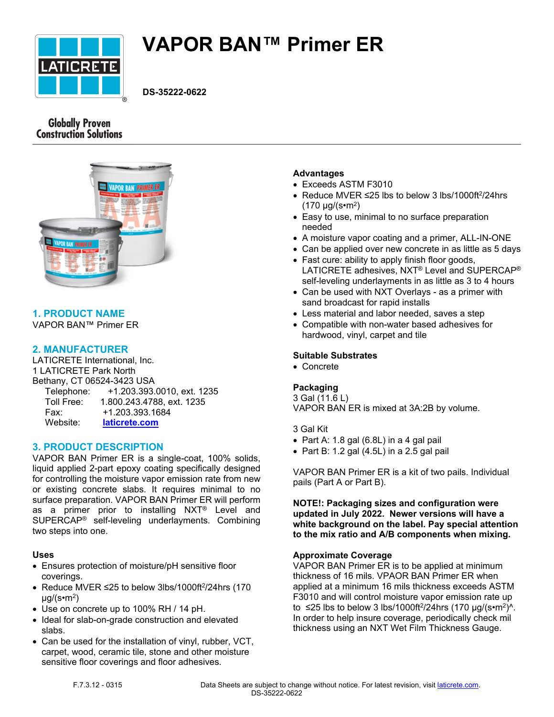

# **VAPOR BAN™ Primer ER**

**DS-35222-0622**

# **Globally Proven Construction Solutions**



# **1. PRODUCT NAME**

VAPOR BAN™ Primer ER

# **2. MANUFACTURER**

LATICRETE International, Inc. 1 LATICRETE Park North Bethany, CT 06524-3423 USA Telephone: +1.203.393.0010, ext. 1235 Toll Free: 1.800.243.4788, ext. 1235 Fax: +1.203.393.1684 Website: **[laticrete.com](https://laticrete.com/)**

## **3. PRODUCT DESCRIPTION**

VAPOR BAN Primer ER is a single-coat, 100% solids, liquid applied 2-part epoxy coating specifically designed for controlling the moisture vapor emission rate from new or existing concrete slabs. It requires minimal to no surface preparation. VAPOR BAN Primer ER will perform as a primer prior to installing NXT® Level and SUPERCAP® self-leveling underlayments. Combining two steps into one.

#### **Uses**

- Ensures protection of moisture/pH sensitive floor coverings.
- Reduce MVER ≤25 to below 3lbs/1000ft<sup>2</sup>/24hrs (170 µg/(s•m<sup>2</sup> )
- Use on concrete up to 100% RH / 14 pH.
- Ideal for slab-on-grade construction and elevated slabs.
- Can be used for the installation of vinyl, rubber, VCT, carpet, wood, ceramic tile, stone and other moisture sensitive floor coverings and floor adhesives.

## **Advantages**

- Exceeds ASTM F3010
- Reduce MVER ≤25 lbs to below 3 lbs/1000ft<sup>2</sup>/24hrs (170 µg/(s•m<sup>2</sup> )
- Easy to use, minimal to no surface preparation needed
- A moisture vapor coating and a primer, ALL-IN-ONE
- Can be applied over new concrete in as little as 5 days
- Fast cure: ability to apply finish floor goods, LATICRETE adhesives, NXT® Level and SUPERCAP® self-leveling underlayments in as little as 3 to 4 hours
- Can be used with NXT Overlays as a primer with sand broadcast for rapid installs
- Less material and labor needed, saves a step
- Compatible with non-water based adhesives for hardwood, vinyl, carpet and tile

#### **Suitable Substrates**

• Concrete

# **Packaging**

3 Gal (11.6 L) VAPOR BAN ER is mixed at 3A:2B by volume.

#### 3 Gal Kit

- Part A: 1.8 gal  $(6.8L)$  in a 4 gal pail
- Part B: 1.2 gal  $(4.5L)$  in a 2.5 gal pail

VAPOR BAN Primer ER is a kit of two pails. Individual pails (Part A or Part B).

**NOTE!: Packaging sizes and configuration were updated in July 2022. Newer versions will have a white background on the label. Pay special attention to the mix ratio and A/B components when mixing.**

#### **Approximate Coverage**

VAPOR BAN Primer ER is to be applied at minimum thickness of 16 mils. VPAOR BAN Primer ER when applied at a minimum 16 mils thickness exceeds ASTM F3010 and will control moisture vapor emission rate up to ≤25 lbs to below 3 lbs/1000ft<sup>2</sup>/24hrs (170 μg/(s•m<sup>2</sup>)^. In order to help insure coverage, periodically check mil thickness using an NXT Wet Film Thickness Gauge.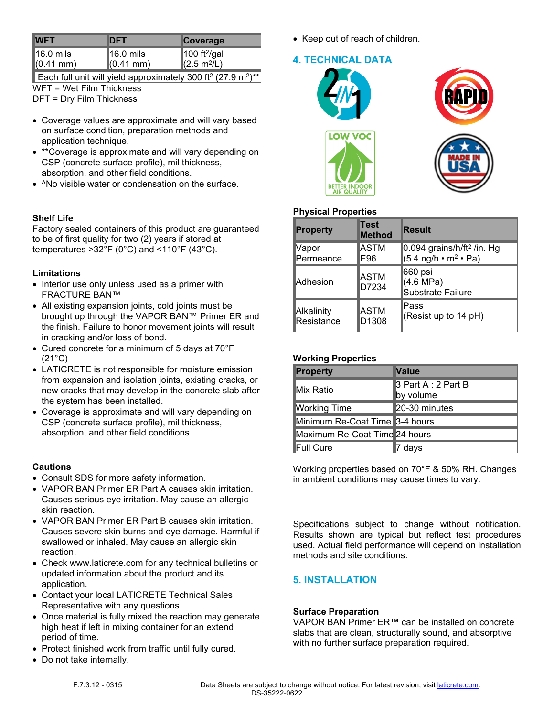| <b>IWFT</b>         | <b>DFT</b>  | <b>Coverage</b>                                     |
|---------------------|-------------|-----------------------------------------------------|
| $16.0$ mils         | $16.0$ mils | 100 ft <sup>2</sup> /gal<br>(2.5 m <sup>2</sup> /L) |
| $(0.41 \text{ mm})$ | $(0.41$ mm) |                                                     |

Each full unit will yield approximately 300 ft<sup>2</sup> (27.9 m<sup>2</sup>)<sup>\*\*</sup> WFT = Wet Film Thickness

DFT = Dry Film Thickness

- Coverage values are approximate and will vary based on surface condition, preparation methods and application technique.
- \*\*Coverage is approximate and will vary depending on CSP (concrete surface profile), mil thickness, absorption, and other field conditions.
- ^No visible water or condensation on the surface.

# **Shelf Life**

Factory sealed containers of this product are guaranteed to be of first quality for two (2) years if stored at temperatures >32°F (0°C) and <110°F (43°C).

## **Limitations**

- Interior use only unless used as a primer with FRACTURE BAN™
- All existing expansion joints, cold joints must be brought up through the VAPOR BAN™ Primer ER and the finish. Failure to honor movement joints will result in cracking and/or loss of bond.
- Cured concrete for a minimum of 5 days at 70°F (21°C)
- LATICRETE is not responsible for moisture emission from expansion and isolation joints, existing cracks, or new cracks that may develop in the concrete slab after the system has been installed.
- Coverage is approximate and will vary depending on CSP (concrete surface profile), mil thickness, absorption, and other field conditions.

## **Cautions**

- Consult SDS for more safety information.
- VAPOR BAN Primer ER Part A causes skin irritation. Causes serious eye irritation. May cause an allergic skin reaction.
- VAPOR BAN Primer ER Part B causes skin irritation. Causes severe skin burns and eye damage. Harmful if swallowed or inhaled. May cause an allergic skin reaction.
- Check www.laticrete.com for any technical bulletins or updated information about the product and its application.
- Contact your local LATICRETE Technical Sales Representative with any questions.
- Once material is fully mixed the reaction may generate high heat if left in mixing container for an extend period of time.
- Protect finished work from traffic until fully cured.
- Do not take internally.

• Keep out of reach of children.

# **4. TECHNICAL DATA**



# **Physical Properties**

| <b>Property</b> | Test<br><b>Method</b> | Result                                                |
|-----------------|-----------------------|-------------------------------------------------------|
| Vapor           | ASTM                  | $0.094$ grains/h/ft <sup>2</sup> /in. Hg              |
| Permeance       | E96                   | $(5.4 \text{ ng/h} \cdot \text{m}^2 \cdot \text{Pa})$ |
| <b>Adhesion</b> | ASTM<br>D7234         | 660 psi<br>(4.6 MPa)<br>Substrate Failure             |
| Alkalinity      | ASTM                  | Pass                                                  |
| Resistance      | D1308                 | (Resist up to 14 pH)                                  |

## **Working Properties**

| <b>Property</b>                | <b>Value</b>                     |  |
|--------------------------------|----------------------------------|--|
| Mix Ratio                      | β Part A : 2 Part B<br>by volume |  |
| <b>Working Time</b>            | 20-30 minutes                    |  |
| Minimum Re-Coat Time 3-4 hours |                                  |  |
| Maximum Re-Coat Time 24 hours  |                                  |  |
| <b>Full Cure</b>               | ∣7 days                          |  |

Working properties based on 70°F & 50% RH. Changes in ambient conditions may cause times to vary.

Specifications subject to change without notification. Results shown are typical but reflect test procedures used. Actual field performance will depend on installation methods and site conditions.

# **5. INSTALLATION**

## **Surface Preparation**

VAPOR BAN Primer ER™ can be installed on concrete slabs that are clean, structurally sound, and absorptive with no further surface preparation required.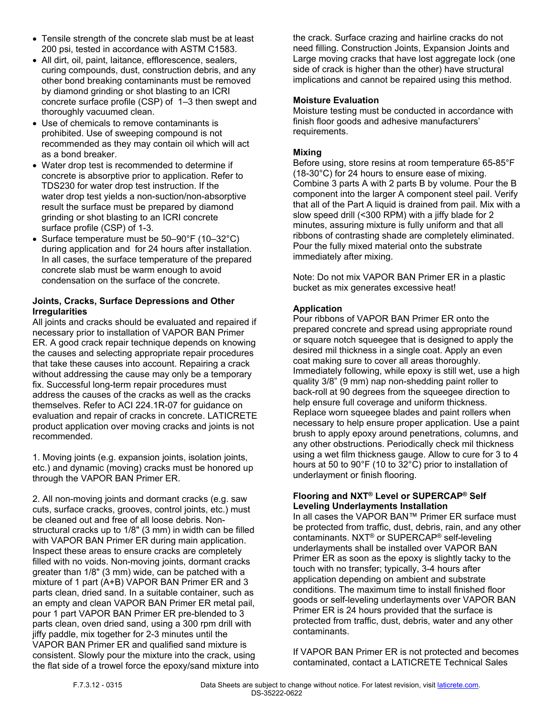- Tensile strength of the concrete slab must be at least 200 psi, tested in accordance with ASTM C1583.
- All dirt, oil, paint, laitance, efflorescence, sealers, curing compounds, dust, construction debris, and any other bond breaking contaminants must be removed by diamond grinding or shot blasting to an ICRI concrete surface profile (CSP) of 1–3 then swept and thoroughly vacuumed clean.
- Use of chemicals to remove contaminants is prohibited. Use of sweeping compound is not recommended as they may contain oil which will act as a bond breaker.
- Water drop test is recommended to determine if concrete is absorptive prior to application. Refer to TDS230 for water drop test instruction. If the water drop test yields a non-suction/non-absorptive result the surface must be prepared by diamond grinding or shot blasting to an ICRI concrete surface profile (CSP) of 1-3.
- Surface temperature must be 50–90°F (10–32°C) during application and for 24 hours after installation. In all cases, the surface temperature of the prepared concrete slab must be warm enough to avoid condensation on the surface of the concrete.

## **Joints, Cracks, Surface Depressions and Other Irregularities**

All joints and cracks should be evaluated and repaired if necessary prior to installation of VAPOR BAN Primer ER. A good crack repair technique depends on knowing the causes and selecting appropriate repair procedures that take these causes into account. Repairing a crack without addressing the cause may only be a temporary fix. Successful long-term repair procedures must address the causes of the cracks as well as the cracks themselves. Refer to ACI 224.1R-07 for guidance on evaluation and repair of cracks in concrete. LATICRETE product application over moving cracks and joints is not recommended.

1. Moving joints (e.g. expansion joints, isolation joints, etc.) and dynamic (moving) cracks must be honored up through the VAPOR BAN Primer ER.

2. All non-moving joints and dormant cracks (e.g. saw cuts, surface cracks, grooves, control joints, etc.) must be cleaned out and free of all loose debris. Nonstructural cracks up to 1/8" (3 mm) in width can be filled with VAPOR BAN Primer ER during main application. Inspect these areas to ensure cracks are completely filled with no voids. Non-moving joints, dormant cracks greater than 1/8" (3 mm) wide, can be patched with a mixture of 1 part (A+B) VAPOR BAN Primer ER and 3 parts clean, dried sand. In a suitable container, such as an empty and clean VAPOR BAN Primer ER metal pail, pour 1 part VAPOR BAN Primer ER pre-blended to 3 parts clean, oven dried sand, using a 300 rpm drill with jiffy paddle, mix together for 2-3 minutes until the VAPOR BAN Primer ER and qualified sand mixture is consistent. Slowly pour the mixture into the crack, using the flat side of a trowel force the epoxy/sand mixture into the crack. Surface crazing and hairline cracks do not need filling. Construction Joints, Expansion Joints and Large moving cracks that have lost aggregate lock (one side of crack is higher than the other) have structural implications and cannot be repaired using this method.

## **Moisture Evaluation**

Moisture testing must be conducted in accordance with finish floor goods and adhesive manufacturers' requirements.

# **Mixing**

Before using, store resins at room temperature 65-85°F (18-30°C) for 24 hours to ensure ease of mixing. Combine 3 parts A with 2 parts B by volume. Pour the B component into the larger A component steel pail. Verify that all of the Part A liquid is drained from pail. Mix with a slow speed drill (<300 RPM) with a jiffy blade for 2 minutes, assuring mixture is fully uniform and that all ribbons of contrasting shade are completely eliminated. Pour the fully mixed material onto the substrate immediately after mixing.

Note: Do not mix VAPOR BAN Primer ER in a plastic bucket as mix generates excessive heat!

# **Application**

Pour ribbons of VAPOR BAN Primer ER onto the prepared concrete and spread using appropriate round or square notch squeegee that is designed to apply the desired mil thickness in a single coat. Apply an even coat making sure to cover all areas thoroughly. Immediately following, while epoxy is still wet, use a high quality 3/8" (9 mm) nap non-shedding paint roller to back-roll at 90 degrees from the squeegee direction to help ensure full coverage and uniform thickness. Replace worn squeegee blades and paint rollers when necessary to help ensure proper application. Use a paint brush to apply epoxy around penetrations, columns, and any other obstructions. Periodically check mil thickness using a wet film thickness gauge. Allow to cure for 3 to 4 hours at 50 to 90°F (10 to 32°C) prior to installation of underlayment or finish flooring.

#### **Flooring and NXT® Level or SUPERCAP® Self Leveling Underlayments Installation**

In all cases the VAPOR BAN™ Primer ER surface must be protected from traffic, dust, debris, rain, and any other contaminants. NXT® or SUPERCAP® self-leveling underlayments shall be installed over VAPOR BAN Primer ER as soon as the epoxy is slightly tacky to the touch with no transfer; typically, 3-4 hours after application depending on ambient and substrate conditions. The maximum time to install finished floor goods or self-leveling underlayments over VAPOR BAN Primer ER is 24 hours provided that the surface is protected from traffic, dust, debris, water and any other contaminants.

If VAPOR BAN Primer ER is not protected and becomes contaminated, contact a LATICRETE Technical Sales